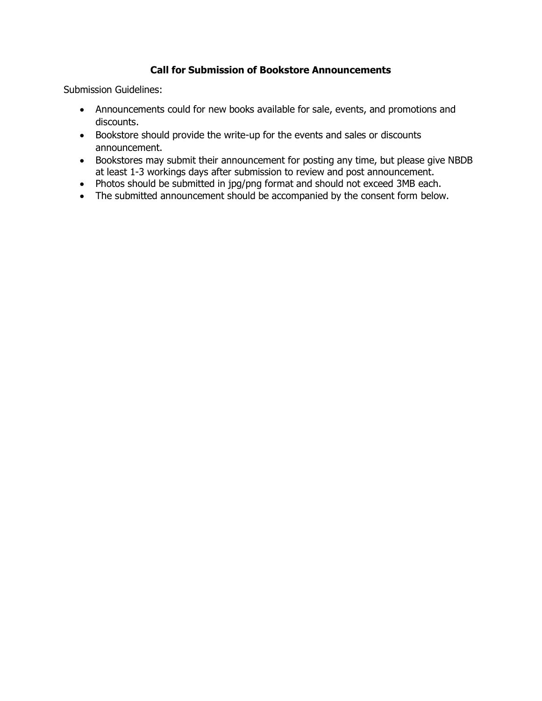## **Call for Submission of Bookstore Announcements**

Submission Guidelines:

- Announcements could for new books available for sale, events, and promotions and discounts.
- Bookstore should provide the write-up for the events and sales or discounts announcement.
- Bookstores may submit their announcement for posting any time, but please give NBDB at least 1-3 workings days after submission to review and post announcement.
- Photos should be submitted in jpg/png format and should not exceed 3MB each.
- The submitted announcement should be accompanied by the consent form below.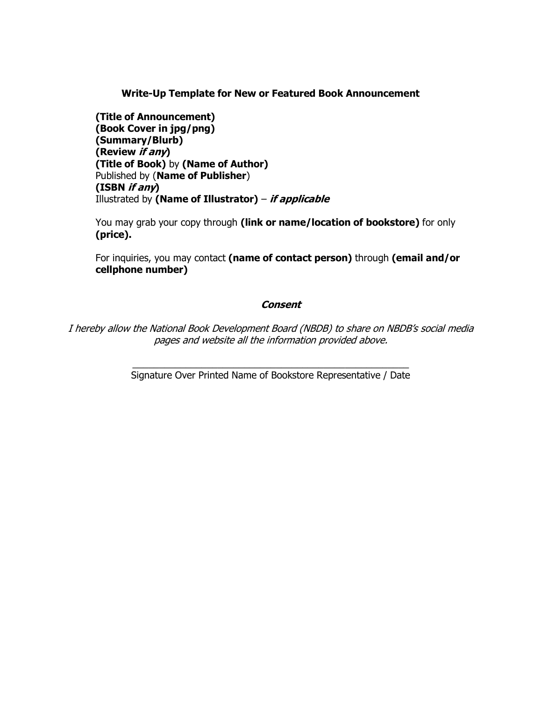**Write-Up Template for New or Featured Book Announcement**

**(Title of Announcement) (Book Cover in jpg/png) (Summary/Blurb) (Review if any) (Title of Book)** by **(Name of Author)** Published by (**Name of Publisher**) **(ISBN if any)** Illustrated by **(Name of Illustrator)** – **if applicable**

You may grab your copy through **(link or name/location of bookstore)** for only **(price).**

For inquiries, you may contact **(name of contact person)** through **(email and/or cellphone number)** 

## **Consent**

I hereby allow the National Book Development Board (NBDB) to share on NBDB's social media pages and website all the information provided above.

> \_\_\_\_\_\_\_\_\_\_\_\_\_\_\_\_\_\_\_\_\_\_\_\_\_\_\_\_\_\_\_\_\_\_\_\_\_\_\_\_\_\_\_\_\_\_\_\_\_\_\_\_ Signature Over Printed Name of Bookstore Representative / Date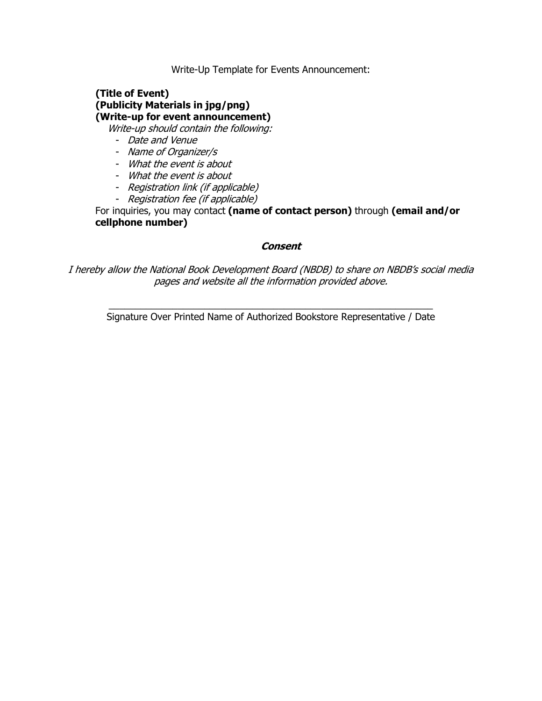Write-Up Template for Events Announcement:

# **(Title of Event) (Publicity Materials in jpg/png) (Write-up for event announcement)**

Write-up should contain the following:

- Date and Venue
- Name of Organizer/s
- What the event is about
- What the event is about
- Registration link (if applicable)
- Registration fee (if applicable)

For inquiries, you may contact **(name of contact person)** through **(email and/or cellphone number)**

#### **Consent**

I hereby allow the National Book Development Board (NBDB) to share on NBDB's social media pages and website all the information provided above.

 $\_$  , and the set of the set of the set of the set of the set of the set of the set of the set of the set of the set of the set of the set of the set of the set of the set of the set of the set of the set of the set of th Signature Over Printed Name of Authorized Bookstore Representative / Date